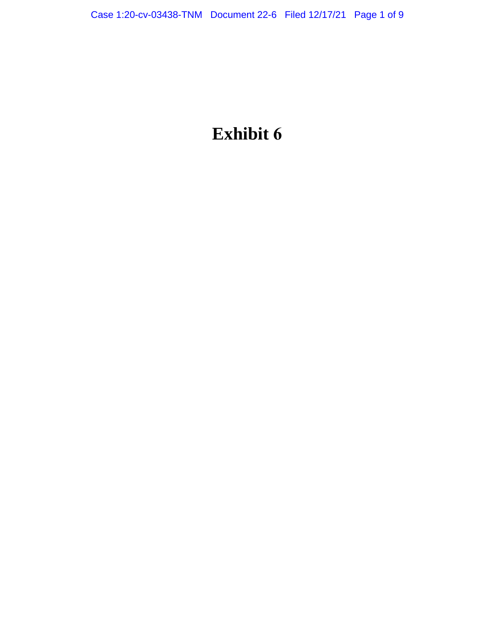# **Exhibit 6**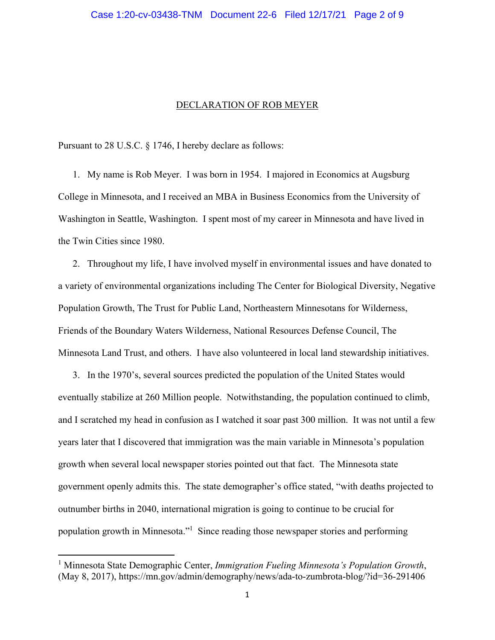#### DECLARATION OF ROB MEYER

Pursuant to 28 U.S.C. § 1746, I hereby declare as follows:

1. My name is Rob Meyer. I was born in 1954. I majored in Economics at Augsburg College in Minnesota, and I received an MBA in Business Economics from the University of Washington in Seattle, Washington. I spent most of my career in Minnesota and have lived in the Twin Cities since 1980.

2. Throughout my life, I have involved myself in environmental issues and have donated to a variety of environmental organizations including The Center for Biological Diversity, Negative Population Growth, The Trust for Public Land, Northeastern Minnesotans for Wilderness, Friends of the Boundary Waters Wilderness, National Resources Defense Council, The Minnesota Land Trust, and others. I have also volunteered in local land stewardship initiatives.

3. In the 1970's, several sources predicted the population of the United States would eventually stabilize at 260 Million people. Notwithstanding, the population continued to climb, and I scratched my head in confusion as I watched it soar past 300 million. It was not until a few years later that I discovered that immigration was the main variable in Minnesota's population growth when several local newspaper stories pointed out that fact. The Minnesota state government openly admits this. The state demographer's office stated, "with deaths projected to outnumber births in 2040, international migration is going to continue to be crucial for population growth in Minnesota."<sup>1</sup> Since reading those newspaper stories and performing

<sup>&</sup>lt;sup>1</sup> Minnesota State Demographic Center, *Immigration Fueling Minnesota's Population Growth*, (May 8, 2017), https://mn.gov/admin/demography/news/ada-to-zumbrota-blog/?id=36-291406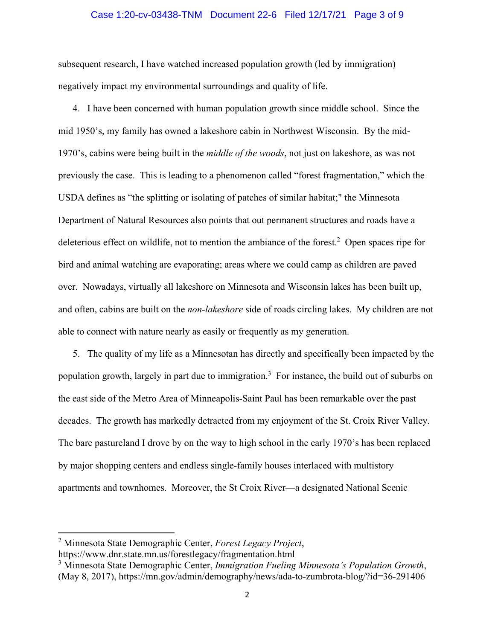### Case 1:20-cv-03438-TNM Document 22-6 Filed 12/17/21 Page 3 of 9

subsequent research, I have watched increased population growth (led by immigration) negatively impact my environmental surroundings and quality of life.

4. I have been concerned with human population growth since middle school. Since the mid 1950's, my family has owned a lakeshore cabin in Northwest Wisconsin. By the mid-1970's, cabins were being built in the *middle of the woods*, not just on lakeshore, as was not previously the case. This is leading to a phenomenon called "forest fragmentation," which the USDA defines as "the splitting or isolating of patches of similar habitat;" the Minnesota Department of Natural Resources also points that out permanent structures and roads have a deleterious effect on wildlife, not to mention the ambiance of the forest.<sup>2</sup> Open spaces ripe for bird and animal watching are evaporating; areas where we could camp as children are paved over. Nowadays, virtually all lakeshore on Minnesota and Wisconsin lakes has been built up, and often, cabins are built on the *non-lakeshore* side of roads circling lakes. My children are not able to connect with nature nearly as easily or frequently as my generation.

5. The quality of my life as a Minnesotan has directly and specifically been impacted by the population growth, largely in part due to immigration.<sup>3</sup> For instance, the build out of suburbs on the east side of the Metro Area of Minneapolis-Saint Paul has been remarkable over the past decades. The growth has markedly detracted from my enjoyment of the St. Croix River Valley. The bare pastureland I drove by on the way to high school in the early 1970's has been replaced by major shopping centers and endless single-family houses interlaced with multistory apartments and townhomes. Moreover, the St Croix River—a designated National Scenic

<sup>2</sup> Minnesota State Demographic Center, *Forest Legacy Project*,

https://www.dnr.state.mn.us/forestlegacy/fragmentation.html

<sup>3</sup> Minnesota State Demographic Center, *Immigration Fueling Minnesota's Population Growth*, (May 8, 2017), https://mn.gov/admin/demography/news/ada-to-zumbrota-blog/?id=36-291406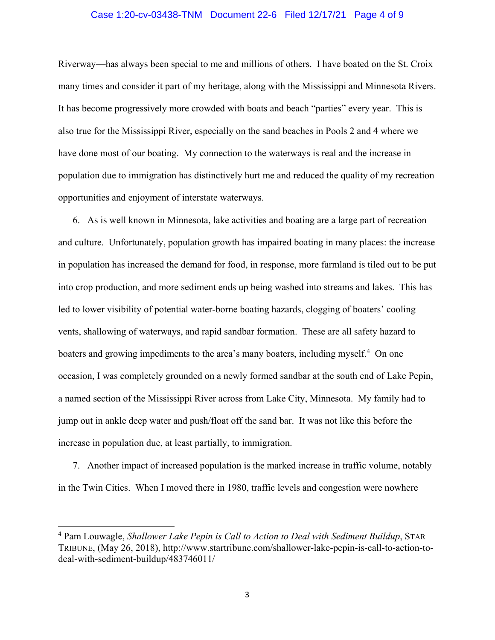### Case 1:20-cv-03438-TNM Document 22-6 Filed 12/17/21 Page 4 of 9

Riverway—has always been special to me and millions of others. I have boated on the St. Croix many times and consider it part of my heritage, along with the Mississippi and Minnesota Rivers. It has become progressively more crowded with boats and beach "parties" every year. This is also true for the Mississippi River, especially on the sand beaches in Pools 2 and 4 where we have done most of our boating. My connection to the waterways is real and the increase in population due to immigration has distinctively hurt me and reduced the quality of my recreation opportunities and enjoyment of interstate waterways.

6. As is well known in Minnesota, lake activities and boating are a large part of recreation and culture. Unfortunately, population growth has impaired boating in many places: the increase in population has increased the demand for food, in response, more farmland is tiled out to be put into crop production, and more sediment ends up being washed into streams and lakes. This has led to lower visibility of potential water-borne boating hazards, clogging of boaters' cooling vents, shallowing of waterways, and rapid sandbar formation. These are all safety hazard to boaters and growing impediments to the area's many boaters, including myself.<sup>4</sup> On one occasion, I was completely grounded on a newly formed sandbar at the south end of Lake Pepin, a named section of the Mississippi River across from Lake City, Minnesota. My family had to jump out in ankle deep water and push/float off the sand bar. It was not like this before the increase in population due, at least partially, to immigration.

7. Another impact of increased population is the marked increase in traffic volume, notably in the Twin Cities. When I moved there in 1980, traffic levels and congestion were nowhere

<sup>4</sup> Pam Louwagle, *Shallower Lake Pepin is Call to Action to Deal with Sediment Buildup*, STAR TRIBUNE, (May 26, 2018), http://www.startribune.com/shallower-lake-pepin-is-call-to-action-todeal-with-sediment-buildup/483746011/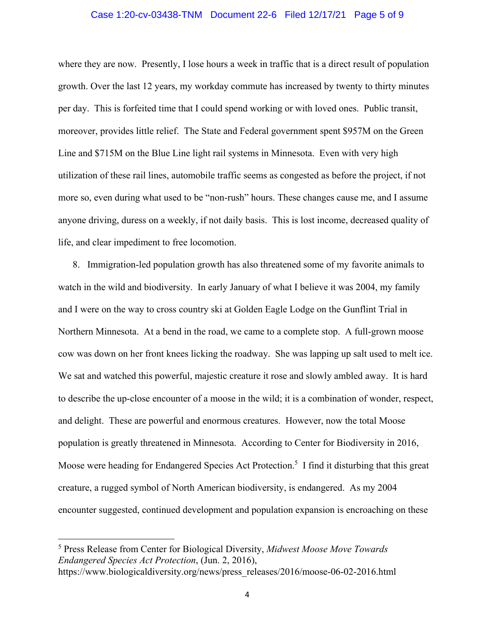### Case 1:20-cv-03438-TNM Document 22-6 Filed 12/17/21 Page 5 of 9

where they are now. Presently, I lose hours a week in traffic that is a direct result of population growth. Over the last 12 years, my workday commute has increased by twenty to thirty minutes per day. This is forfeited time that I could spend working or with loved ones. Public transit, moreover, provides little relief. The State and Federal government spent \$957M on the Green Line and \$715M on the Blue Line light rail systems in Minnesota. Even with very high utilization of these rail lines, automobile traffic seems as congested as before the project, if not more so, even during what used to be "non-rush" hours. These changes cause me, and I assume anyone driving, duress on a weekly, if not daily basis. This is lost income, decreased quality of life, and clear impediment to free locomotion.

8. Immigration-led population growth has also threatened some of my favorite animals to watch in the wild and biodiversity. In early January of what I believe it was 2004, my family and I were on the way to cross country ski at Golden Eagle Lodge on the Gunflint Trial in Northern Minnesota. At a bend in the road, we came to a complete stop. A full-grown moose cow was down on her front knees licking the roadway. She was lapping up salt used to melt ice. We sat and watched this powerful, majestic creature it rose and slowly ambled away. It is hard to describe the up-close encounter of a moose in the wild; it is a combination of wonder, respect, and delight. These are powerful and enormous creatures. However, now the total Moose population is greatly threatened in Minnesota. According to Center for Biodiversity in 2016, Moose were heading for Endangered Species Act Protection.<sup>5</sup> I find it disturbing that this great creature, a rugged symbol of North American biodiversity, is endangered. As my 2004 encounter suggested, continued development and population expansion is encroaching on these

<sup>5</sup> Press Release from Center for Biological Diversity, *Midwest Moose Move Towards Endangered Species Act Protection*, (Jun. 2, 2016), https://www.biologicaldiversity.org/news/press\_releases/2016/moose-06-02-2016.html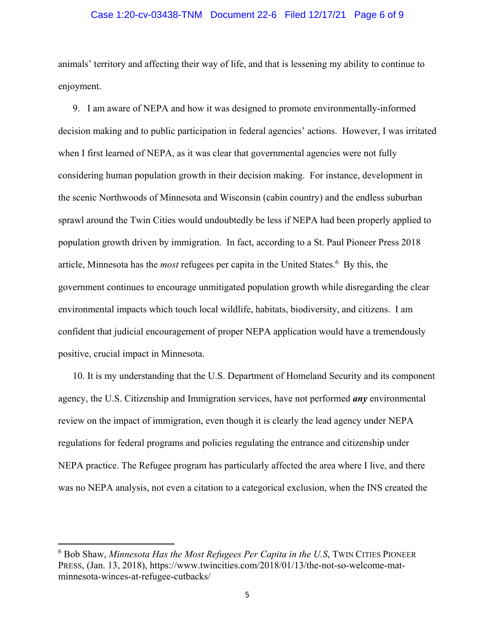### Case 1:20-cv-03438-TNM Document 22-6 Filed 12/17/21 Page 6 of 9

animals' territory and affecting their way of life, and that is lessening my ability to continue to enjoyment.

9. I am aware of NEPA and how it was designed to promote environmentally-informed decision making and to public participation in federal agencies' actions. However, I was irritated when I first learned of NEPA, as it was clear that governmental agencies were not fully considering human population growth in their decision making. For instance, development in the scenic Northwoods of Minnesota and Wisconsin (cabin country) and the endless suburban sprawl around the Twin Cities would undoubtedly be less if NEPA had been properly applied to population growth driven by immigration. In fact, according to a St. Paul Pioneer Press 2018 article, Minnesota has the *most* refugees per capita in the United States.<sup>6</sup> By this, the government continues to encourage unmitigated population growth while disregarding the clear environmental impacts which touch local wildlife, habitats, biodiversity, and citizens. I am confident that judicial encouragement of proper NEPA application would have a tremendously positive, crucial impact in Minnesota.

10. It is my understanding that the U.S. Department of Homeland Security and its component agency, the U.S. Citizenship and Immigration services, have not performed *any* environmental review on the impact of immigration, even though it is clearly the lead agency under NEPA regulations for federal programs and policies regulating the entrance and citizenship under NEPA practice. The Refugee program has particularly affected the area where I live, and there was no NEPA analysis, not even a citation to a categorical exclusion, when the INS created the

<sup>6</sup> Bob Shaw, *Minnesota Has the Most Refugees Per Capita in the U.S*, TWIN CITIES PIONEER PRESS, (Jan. 13, 2018), https://www.twincities.com/2018/01/13/the-not-so-welcome-matminnesota-winces-at-refugee-cutbacks/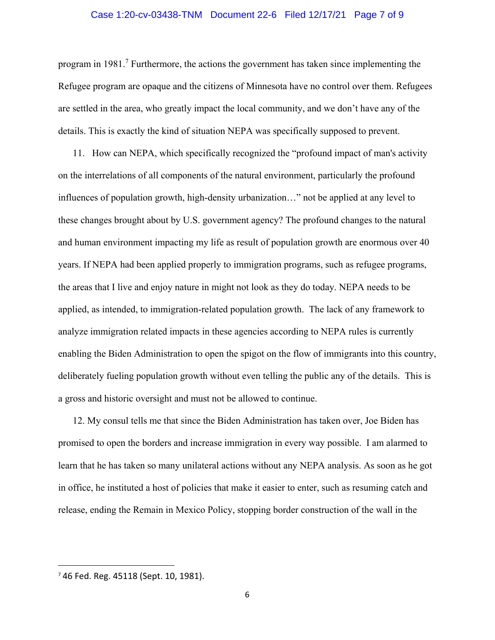### Case 1:20-cv-03438-TNM Document 22-6 Filed 12/17/21 Page 7 of 9

program in 1981.<sup>7</sup> Furthermore, the actions the government has taken since implementing the Refugee program are opaque and the citizens of Minnesota have no control over them. Refugees are settled in the area, who greatly impact the local community, and we don't have any of the details. This is exactly the kind of situation NEPA was specifically supposed to prevent.

11. How can NEPA, which specifically recognized the "profound impact of man's activity on the interrelations of all components of the natural environment, particularly the profound influences of population growth, high-density urbanization…" not be applied at any level to these changes brought about by U.S. government agency? The profound changes to the natural and human environment impacting my life as result of population growth are enormous over 40 years. If NEPA had been applied properly to immigration programs, such as refugee programs, the areas that I live and enjoy nature in might not look as they do today. NEPA needs to be applied, as intended, to immigration-related population growth. The lack of any framework to analyze immigration related impacts in these agencies according to NEPA rules is currently enabling the Biden Administration to open the spigot on the flow of immigrants into this country, deliberately fueling population growth without even telling the public any of the details. This is a gross and historic oversight and must not be allowed to continue.

12. My consul tells me that since the Biden Administration has taken over, Joe Biden has promised to open the borders and increase immigration in every way possible. I am alarmed to learn that he has taken so many unilateral actions without any NEPA analysis. As soon as he got in office, he instituted a host of policies that make it easier to enter, such as resuming catch and release, ending the Remain in Mexico Policy, stopping border construction of the wall in the

<sup>7</sup> 46 Fed. Reg. 45118 (Sept. 10, 1981).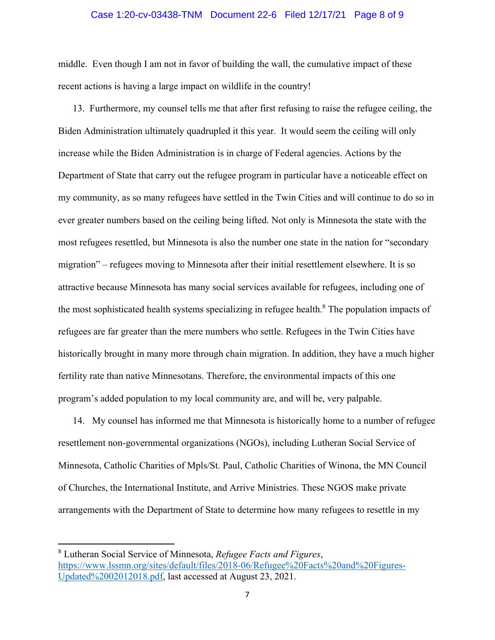### Case 1:20-cv-03438-TNM Document 22-6 Filed 12/17/21 Page 8 of 9

middle. Even though I am not in favor of building the wall, the cumulative impact of these recent actions is having a large impact on wildlife in the country!

13. Furthermore, my counsel tells me that after first refusing to raise the refugee ceiling, the Biden Administration ultimately quadrupled it this year. It would seem the ceiling will only increase while the Biden Administration is in charge of Federal agencies. Actions by the Department of State that carry out the refugee program in particular have a noticeable effect on my community, as so many refugees have settled in the Twin Cities and will continue to do so in ever greater numbers based on the ceiling being lifted. Not only is Minnesota the state with the most refugees resettled, but Minnesota is also the number one state in the nation for "secondary migration" – refugees moving to Minnesota after their initial resettlement elsewhere. It is so attractive because Minnesota has many social services available for refugees, including one of the most sophisticated health systems specializing in refugee health.<sup>8</sup> The population impacts of refugees are far greater than the mere numbers who settle. Refugees in the Twin Cities have historically brought in many more through chain migration. In addition, they have a much higher fertility rate than native Minnesotans. Therefore, the environmental impacts of this one program's added population to my local community are, and will be, very palpable.

14. My counsel has informed me that Minnesota is historically home to a number of refugee resettlement non-governmental organizations (NGOs), including Lutheran Social Service of Minnesota, Catholic Charities of Mpls/St. Paul, Catholic Charities of Winona, the MN Council of Churches, the International Institute, and Arrive Ministries. These NGOS make private arrangements with the Department of State to determine how many refugees to resettle in my

<sup>8</sup> Lutheran Social Service of Minnesota, *Refugee Facts and Figures*, https://www.lssmn.org/sites/default/files/2018-06/Refugee%20Facts%20and%20Figures-Updated%2002012018.pdf, last accessed at August 23, 2021.